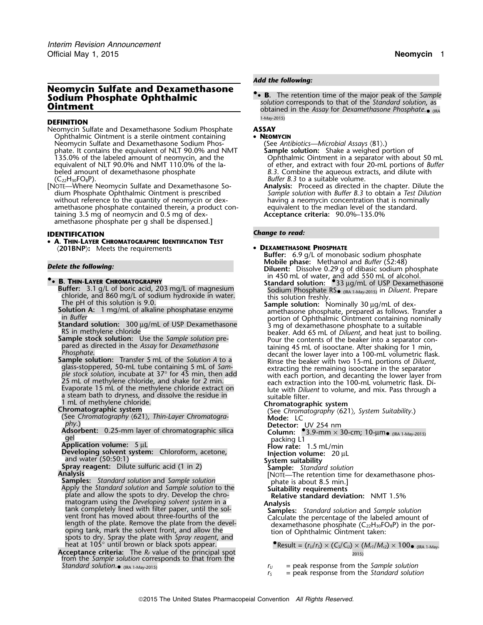## **Neomycin Sulfate and Dexamethasone**<br>**Sodium Phosphate Ophthalmic • • B.** The retention time of the major peak of the Sample **Sodium Phosphate Ophthalmic**<br>**Ointment** or the sample of the sample of the sample of the sample of the sample of the sample of the sample of the sample of the sample of the sample of the sample of the sample of the sample

## 1-May-2015) **DEFINITION**

- Neomycin Sulfate and Dexamethasone Sodium Phosphate **ASSAY** Ophthalmic Ointment is a sterile ointment containing • **NEOMYCIN** Neomycin Sulfate and Dexamethasone Sodium Phos-<br>
phate. It contains the equivalent of NLT 90.0% and NMT **Sample solution:** Shake a weighed portion of phate. It contains the equivalent of NLT 90.0% and NMT **Sample solution:** Shake a weighed portion of 135.0% of the labeled amount of neomycin, and the  $\hskip1cm$  Ophthalmic Ointment in a separator with about 50 mL equivalent of NLT 90.0% and NMT 110.0% of the la-<br>beled amount of dexamethasone phosphate below and all position of ether, and extract with four 20-mL portions of *Buffer* beled amount of dexamethasone phosphate *B.3*. Combine the aqueous extracts, and dilute with  $(C_{22}H_{30}FO_8P)$ . (C22H30FO8P). *Buffer B.3* to a suitable volume.
- [NOTE—Where Neomycin Sulfate and Dexamethasone So- **Analysis:** Proceed as directed in the chapter. Dilute the dium Phosphate Ophthalmic Ointment is prescribed *Sample solution* with *Buffer B.3* to obtain a *Test Dilution* without reference to the quantity of neomycin or dex-<br>amethasone phosphate contained therein, a product con-<br>equivalent to the median level of the standard. amethasone phosphate contained therein, a product con-<br>taining 3.5 mg of neomycin and 0.5 mg of dex-<br>**Acceptance criteria:** 90.0%–135.0% taining 3.5 mg of neomycin and 0.5 mg of dexamethasone phosphate per g shall be dispensed.]

## *Change to read:* **IDENTIFICATION**

• **A. THIN-LAYER CHROMATOGRAPHIC IDENTIFICATION TEST** 〈**201BNP**〉**:** Meets the requirements • **<sup>D</sup>EXAMETHASONE PHOSPHATE**

- 
- 
- 
- 
- <sup>g</sup>lass-stoppered, 50-mL tube containing 5 mL of *Sam-* extracting the remaining isooctane in the separator
- 
- I mL of methylene chloride.<br> **Chromatographic system**<br>
(See Chromatography (621), Thin-Layer Chromatography (See Chromatography (621), System Suitability.)<br>
(See Chromatography (621), Thin-Layer Chromatography<br> **Detector:** *phy*.) **Detector:** UV 254 nm
- **Adsorbent:** 0.25-mm layer of chromatographic silica **Column:** •.3.9-mm × 30-cm; 10-µm•(IRC 1-May-2015) Adsorbent: 0.25-mm layer of chromatographic silica<br>
gel packing L1<br> **Application volume:** 5 µL<br> **Developing solvent system:** Chloroform, acetone, **Injection volume:** 20 µL<br>
and water (50:50:1)<br> **Injection**
- 
- 
- and water (50:50:1) **System suitability Spray reagent:** Dilute sulfuric acid (1 in 2) **Sample:** *Standard solution*
- 
- **Samples:** Standard solution and Sample solution<br>Apply the Standard solution and Sample solution to the<br>plate and allow the spots to dry. Develop the chro-<br>**Relative standard deviation:** NMT 1.5% plate and allow the spots to dry. Develop the chro-<br>matogram using the *Developing solvent system* in a matogram using the *Developing solvent system* in a<br>
tank completely lined with filter paper, until the sol-<br>
vent front has moved about three-fourths of the<br>
length of the plate. Remove the plate from the devel-<br>
length oping tank, mark the solvent front, and allow the spots to dry. Spray the plate with *Spray reagent*, and heat at 105° until brown or black spots appear. •.Result = (*<sup>r</sup>U*/*<sup>r</sup>S*) × (*CS*/*CU*) × (*Mr1*/*Mr2*) × 100•
- **Acceptance criteria:** The *RF* value of the principal spot 2015) from the *Sample solution* corresponds to that from the *Standard solution*. •

## *Add the following:*

• (IRA

- -
- 

- Buffer: 6.9 g/L of monobasic sodium phosphate<br>Mobile phase: Methanol and Buffer (52:48) **Delete the following: Delete the following: Diluent:** Dissolve 0.29 g of dibasic sodium phosphate in 450 mL of water, and add 550 mL of alcohol.<br>**Buffer: 3.1 g/L of boric acid, 203 mg/L of magnesium**<br>Sodium Phosphate RS<sub>o (IRA 1-May-2015)</sub> in *Diluent*. Prepare **Buffer:** 3.1 g/L of boric acid, 203 mg/L of magnesium<br>
chloride, and 860 mg/L of sodium hydroxide in water.<br>
The pH of this solution is 9.0.<br> **Solution A:** 1 mg/mL of alkaline phosphatase enzyme<br>
in Buffer<br>
in Buffer<br>
in Standard solution: 300 µg/mL of USP Dexamethasone<br>
RS in methylene chloride<br>
RS in methylene chloride<br>
Sample stock solution: Use the Sample solution pre-<br>
pared as directed in the Assay for Dexamethasone<br>
pared as directe pared as directed in the Assay for Dexamethasone<br>
Phosphate.<br>
Sample solution: Transfer 5 mL of the Solution A to a<br>
glass-stoppered, 50-mL tube containing 5 mL of Sam-<br>
glass-stoppered, 50-mL tube containing 5 mL of Sam-<br> ple stock solution, incubate at 37° for 45 min, then add with each portion, and decanting the lower layer from<br>25 mL of methylene chloride, and shake for 2 min. The wach extraction into the 100-mL volumetric flask. Di-Evaporate 15 mL of methylene chloride, and shake for 2 min.<br>
Evaporate 15 mL of the methylene chloride extract on lute with *Diluent* to volume, and mix. Pass through a a steam bath to dryness, and dissolve the residue in
	-
	-
	-
	-
	-
	-
	-
	-
	-

# **• Result** =  $(r_U/r_S) \times (C_S/C_U) \times (M_{r1}/M_{r2}) \times 100$  (IRA 1-May-

- $r_U$  = peak response from the *Sample solution*
- *<sup>r</sup><sup>S</sup>* = peak response from the *Standard solution*